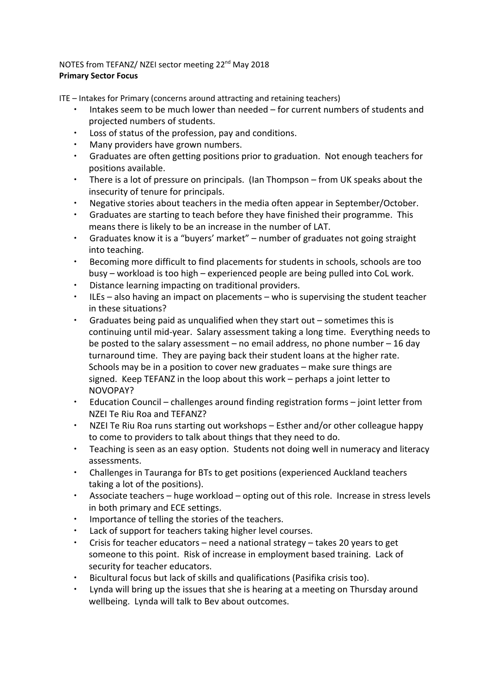## NOTES from TEFANZ/ NZEI sector meeting 22<sup>nd</sup> May 2018 **Primary Sector Focus**

ITE – Intakes for Primary (concerns around attracting and retaining teachers)

- ∙ Intakes seem to be much lower than needed for current numbers of students and projected numbers of students.
- ∙ Loss of status of the profession, pay and conditions.
- ∙ Many providers have grown numbers.
- ∙ Graduates are often getting positions prior to graduation. Not enough teachers for positions available.
- ∙ There is a lot of pressure on principals. (Ian Thompson from UK speaks about the insecurity of tenure for principals.
- ∙ Negative stories about teachers in the media often appear in September/October.
- ∙ Graduates are starting to teach before they have finished their programme. This means there is likely to be an increase in the number of LAT.
- ∙ Graduates know it is a "buyers' market" number of graduates not going straight into teaching.
- ∙ Becoming more difficult to find placements for students in schools, schools are too busy – workload is too high – experienced people are being pulled into CoL work.
- ∙ Distance learning impacting on traditional providers.
- ∙ ILEs also having an impact on placements who is supervising the student teacher in these situations?
- ∙ Graduates being paid as unqualified when they start out sometimes this is continuing until mid-year. Salary assessment taking a long time. Everything needs to be posted to the salary assessment – no email address, no phone number – 16 day turnaround time. They are paying back their student loans at the higher rate. Schools may be in a position to cover new graduates – make sure things are signed. Keep TEFANZ in the loop about this work – perhaps a joint letter to NOVOPAY?
- ∙ Education Council challenges around finding registration forms joint letter from NZEI Te Riu Roa and TEFANZ?
- ∙ NZEI Te Riu Roa runs starting out workshops Esther and/or other colleague happy to come to providers to talk about things that they need to do.
- ∙ Teaching is seen as an easy option. Students not doing well in numeracy and literacy assessments.
- ∙ Challenges in Tauranga for BTs to get positions (experienced Auckland teachers taking a lot of the positions).
- ∙ Associate teachers huge workload opting out of this role. Increase in stress levels in both primary and ECE settings.
- ∙ Importance of telling the stories of the teachers.
- ∙ Lack of support for teachers taking higher level courses.
- ∙ Crisis for teacher educators need a national strategy takes 20 years to get someone to this point. Risk of increase in employment based training. Lack of security for teacher educators.
- ∙ Bicultural focus but lack of skills and qualifications (Pasifika crisis too).
- ∙ Lynda will bring up the issues that she is hearing at a meeting on Thursday around wellbeing. Lynda will talk to Bev about outcomes.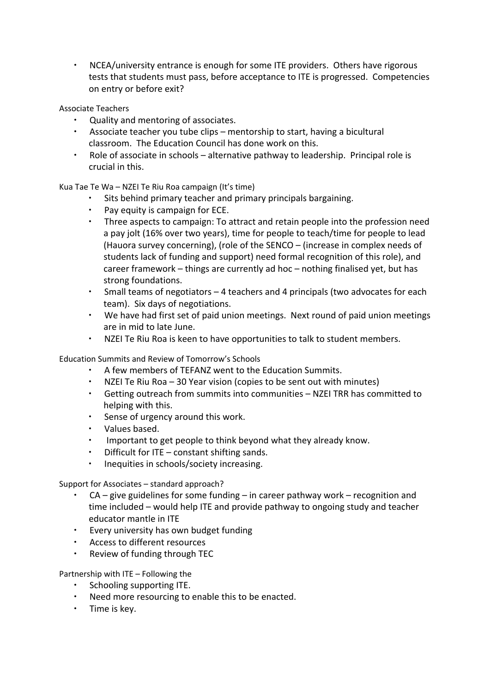∙ NCEA/university entrance is enough for some ITE providers. Others have rigorous tests that students must pass, before acceptance to ITE is progressed. Competencies on entry or before exit?

## Associate Teachers

- ∙ Quality and mentoring of associates.
- ∙ Associate teacher you tube clips mentorship to start, having a bicultural classroom. The Education Council has done work on this.
- ∙ Role of associate in schools alternative pathway to leadership. Principal role is crucial in this.

Kua Tae Te Wa – NZEI Te Riu Roa campaign (It's time)

- ∙ Sits behind primary teacher and primary principals bargaining.
- ∙ Pay equity is campaign for ECE.
- ∙ Three aspects to campaign: To attract and retain people into the profession need a pay jolt (16% over two years), time for people to teach/time for people to lead (Hauora survey concerning), (role of the SENCO – (increase in complex needs of students lack of funding and support) need formal recognition of this role), and career framework – things are currently ad hoc – nothing finalised yet, but has strong foundations.
- ∙ Small teams of negotiators 4 teachers and 4 principals (two advocates for each team). Six days of negotiations.
- ∙ We have had first set of paid union meetings. Next round of paid union meetings are in mid to late June.
- ∙ NZEI Te Riu Roa is keen to have opportunities to talk to student members.

Education Summits and Review of Tomorrow's Schools

- ∙ A few members of TEFANZ went to the Education Summits.
- ∙ NZEI Te Riu Roa 30 Year vision (copies to be sent out with minutes)
- ∙ Getting outreach from summits into communities NZEI TRR has committed to helping with this.
- ∙ Sense of urgency around this work.
- ∙ Values based.
- ∙ Important to get people to think beyond what they already know.
- ∙ Difficult for ITE constant shifting sands.
- ∙ Inequities in schools/society increasing.

Support for Associates – standard approach?

- ∙ CA give guidelines for some funding in career pathway work recognition and time included – would help ITE and provide pathway to ongoing study and teacher educator mantle in ITE
- ∙ Every university has own budget funding
- ∙ Access to different resources
- ∙ Review of funding through TEC

Partnership with ITE – Following the

- ∙ Schooling supporting ITE.
- ∙ Need more resourcing to enable this to be enacted.
- ∙ Time is key.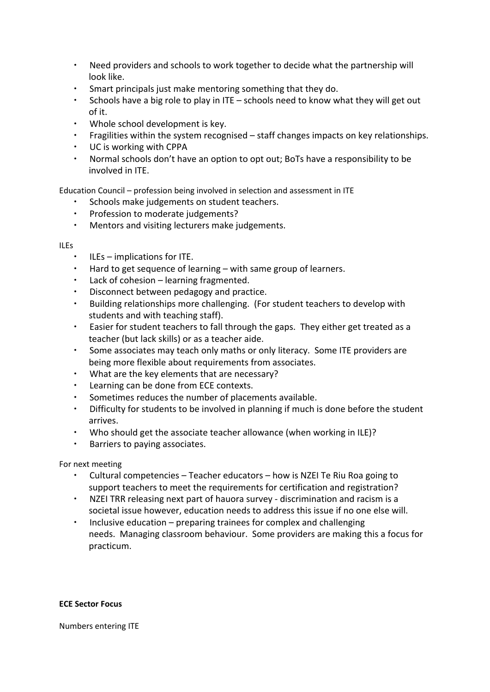- ∙ Need providers and schools to work together to decide what the partnership will look like.
- ∙ Smart principals just make mentoring something that they do.
- ∙ Schools have a big role to play in ITE schools need to know what they will get out of it.
- ∙ Whole school development is key.
- ∙ Fragilities within the system recognised staff changes impacts on key relationships.
- ∙ UC is working with CPPA
- ∙ Normal schools don't have an option to opt out; BoTs have a responsibility to be involved in ITE.

Education Council – profession being involved in selection and assessment in ITE

- ∙ Schools make judgements on student teachers.
- ∙ Profession to moderate judgements?
- ∙ Mentors and visiting lecturers make judgements.

## ILEs

- ∙ ILEs implications for ITE.
- ∙ Hard to get sequence of learning with same group of learners.
- ∙ Lack of cohesion learning fragmented.
- ∙ Disconnect between pedagogy and practice.
- ∙ Building relationships more challenging. (For student teachers to develop with students and with teaching staff).
- ∙ Easier for student teachers to fall through the gaps. They either get treated as a teacher (but lack skills) or as a teacher aide.
- ∙ Some associates may teach only maths or only literacy. Some ITE providers are being more flexible about requirements from associates.
- ∙ What are the key elements that are necessary?
- ∙ Learning can be done from ECE contexts.
- ∙ Sometimes reduces the number of placements available.
- ∙ Difficulty for students to be involved in planning if much is done before the student arrives.
- ∙ Who should get the associate teacher allowance (when working in ILE)?
- ∙ Barriers to paying associates.

For next meeting

- ∙ Cultural competencies Teacher educators how is NZEI Te Riu Roa going to support teachers to meet the requirements for certification and registration?
- ∙ NZEI TRR releasing next part of hauora survey discrimination and racism is a societal issue however, education needs to address this issue if no one else will.
- ∙ Inclusive education preparing trainees for complex and challenging needs. Managing classroom behaviour. Some providers are making this a focus for practicum.

## **ECE Sector Focus**

Numbers entering ITE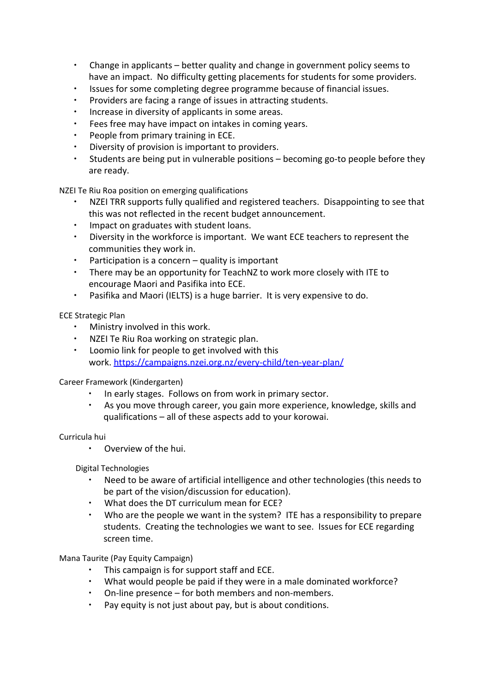- ∙ Change in applicants better quality and change in government policy seems to have an impact. No difficulty getting placements for students for some providers.
- ∙ Issues for some completing degree programme because of financial issues.
- ∙ Providers are facing a range of issues in attracting students.
- ∙ Increase in diversity of applicants in some areas.
- Fees free may have impact on intakes in coming years.
- ∙ People from primary training in ECE.
- ∙ Diversity of provision is important to providers.
- ∙ Students are being put in vulnerable positions becoming go-to people before they are ready.

NZEI Te Riu Roa position on emerging qualifications

- NZEI TRR supports fully qualified and registered teachers. Disappointing to see that this was not reflected in the recent budget announcement.
- ∙ Impact on graduates with student loans.
- ∙ Diversity in the workforce is important. We want ECE teachers to represent the communities they work in.
- ∙ Participation is a concern quality is important
- ∙ There may be an opportunity for TeachNZ to work more closely with ITE to encourage Maori and Pasifika into ECE.
- ∙ Pasifika and Maori (IELTS) is a huge barrier. It is very expensive to do.

ECE Strategic Plan

- ∙ Ministry involved in this work.
- ∙ NZEI Te Riu Roa working on strategic plan.
- ∙ Loomio link for people to get involved with this work.<https://campaigns.nzei.org.nz/every-child/ten-year-plan/>

Career Framework (Kindergarten)

- ∙ In early stages. Follows on from work in primary sector.
- ∙ As you move through career, you gain more experience, knowledge, skills and qualifications – all of these aspects add to your korowai.

Curricula hui

∙ Overview of the hui.

Digital Technologies

- ∙ Need to be aware of artificial intelligence and other technologies (this needs to be part of the vision/discussion for education).
- ∙ What does the DT curriculum mean for ECE?
- ∙ Who are the people we want in the system? ITE has a responsibility to prepare students. Creating the technologies we want to see. Issues for ECE regarding screen time.

Mana Taurite (Pay Equity Campaign)

- ∙ This campaign is for support staff and ECE.
- ∙ What would people be paid if they were in a male dominated workforce?
- ∙ On-line presence for both members and non-members.
- Pay equity is not just about pay, but is about conditions.